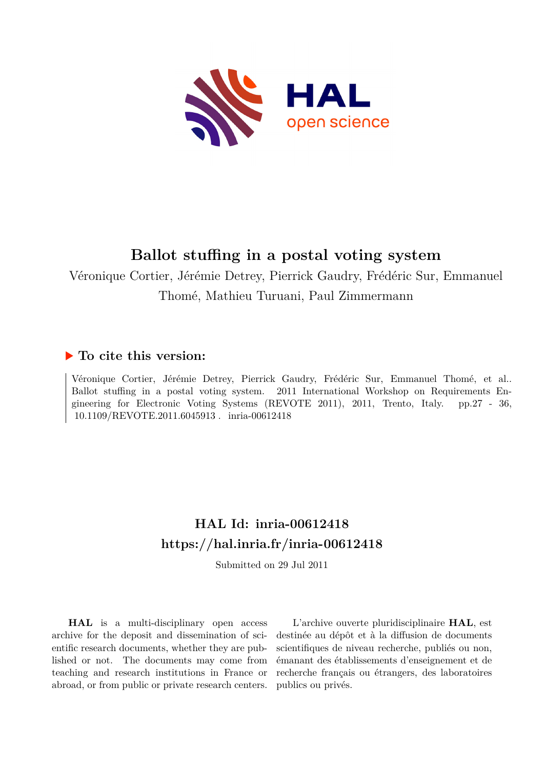

# **Ballot stuffing in a postal voting system**

Véronique Cortier, Jérémie Detrey, Pierrick Gaudry, Frédéric Sur, Emmanuel

# Thomé, Mathieu Turuani, Paul Zimmermann

# **To cite this version:**

Véronique Cortier, Jérémie Detrey, Pierrick Gaudry, Frédéric Sur, Emmanuel Thomé, et al.. Ballot stuffing in a postal voting system. 2011 International Workshop on Requirements Engineering for Electronic Voting Systems (REVOTE 2011), 2011, Trento, Italy. pp.27 - 36, 10.1109/REVOTE.2011.6045913. inria-00612418

# **HAL Id: inria-00612418 <https://hal.inria.fr/inria-00612418>**

Submitted on 29 Jul 2011

**HAL** is a multi-disciplinary open access archive for the deposit and dissemination of scientific research documents, whether they are published or not. The documents may come from teaching and research institutions in France or abroad, or from public or private research centers.

L'archive ouverte pluridisciplinaire **HAL**, est destinée au dépôt et à la diffusion de documents scientifiques de niveau recherche, publiés ou non, émanant des établissements d'enseignement et de recherche français ou étrangers, des laboratoires publics ou privés.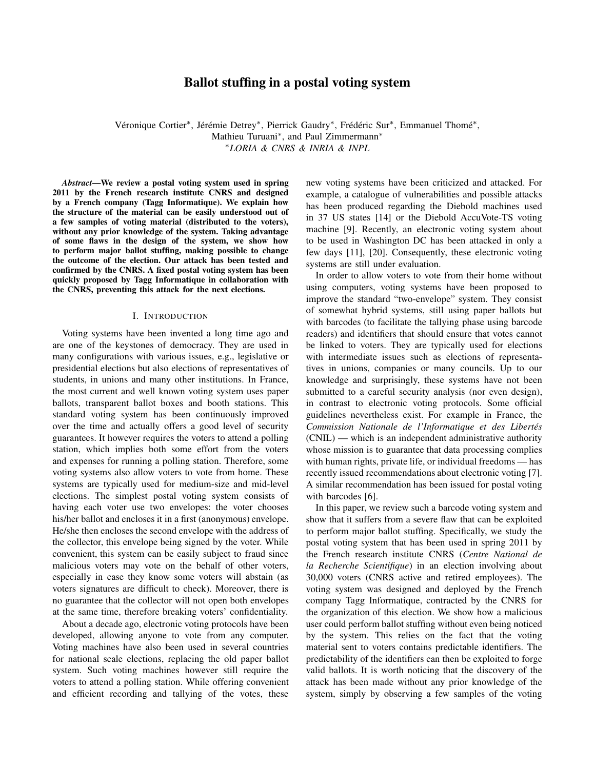# **Ballot stuffing in a postal voting system**

Véronique Cortier\*, Jérémie Detrey\*, Pierrick Gaudry\*, Frédéric Sur\*, Emmanuel Thomé\*, Mathieu Turuani<sup>∗</sup> , and Paul Zimmermann<sup>∗</sup> <sup>∗</sup>*LORIA & CNRS & INRIA & INPL*

*Abstract***—We review a postal voting system used in spring 2011 by the French research institute CNRS and designed by a French company (Tagg Informatique). We explain how the structure of the material can be easily understood out of a few samples of voting material (distributed to the voters), without any prior knowledge of the system. Taking advantage of some flaws in the design of the system, we show how to perform major ballot stuffing, making possible to change the outcome of the election. Our attack has been tested and confirmed by the CNRS. A fixed postal voting system has been quickly proposed by Tagg Informatique in collaboration with the CNRS, preventing this attack for the next elections.**

#### I. INTRODUCTION

Voting systems have been invented a long time ago and are one of the keystones of democracy. They are used in many configurations with various issues, e.g., legislative or presidential elections but also elections of representatives of students, in unions and many other institutions. In France, the most current and well known voting system uses paper ballots, transparent ballot boxes and booth stations. This standard voting system has been continuously improved over the time and actually offers a good level of security guarantees. It however requires the voters to attend a polling station, which implies both some effort from the voters and expenses for running a polling station. Therefore, some voting systems also allow voters to vote from home. These systems are typically used for medium-size and mid-level elections. The simplest postal voting system consists of having each voter use two envelopes: the voter chooses his/her ballot and encloses it in a first (anonymous) envelope. He/she then encloses the second envelope with the address of the collector, this envelope being signed by the voter. While convenient, this system can be easily subject to fraud since malicious voters may vote on the behalf of other voters, especially in case they know some voters will abstain (as voters signatures are difficult to check). Moreover, there is no guarantee that the collector will not open both envelopes at the same time, therefore breaking voters' confidentiality.

About a decade ago, electronic voting protocols have been developed, allowing anyone to vote from any computer. Voting machines have also been used in several countries for national scale elections, replacing the old paper ballot system. Such voting machines however still require the voters to attend a polling station. While offering convenient and efficient recording and tallying of the votes, these new voting systems have been criticized and attacked. For example, a catalogue of vulnerabilities and possible attacks has been produced regarding the Diebold machines used in 37 US states [14] or the Diebold AccuVote-TS voting machine [9]. Recently, an electronic voting system about to be used in Washington DC has been attacked in only a few days [11], [20]. Consequently, these electronic voting systems are still under evaluation.

In order to allow voters to vote from their home without using computers, voting systems have been proposed to improve the standard "two-envelope" system. They consist of somewhat hybrid systems, still using paper ballots but with barcodes (to facilitate the tallying phase using barcode readers) and identifiers that should ensure that votes cannot be linked to voters. They are typically used for elections with intermediate issues such as elections of representatives in unions, companies or many councils. Up to our knowledge and surprisingly, these systems have not been submitted to a careful security analysis (nor even design), in contrast to electronic voting protocols. Some official guidelines nevertheless exist. For example in France, the *Commission Nationale de l'Informatique et des Libertés* (CNIL) — which is an independent administrative authority whose mission is to guarantee that data processing complies with human rights, private life, or individual freedoms — has recently issued recommendations about electronic voting [7]. A similar recommendation has been issued for postal voting with barcodes [6].

In this paper, we review such a barcode voting system and show that it suffers from a severe flaw that can be exploited to perform major ballot stuffing. Specifically, we study the postal voting system that has been used in spring 2011 by the French research institute CNRS (*Centre National de la Recherche Scientifique*) in an election involving about 30,000 voters (CNRS active and retired employees). The voting system was designed and deployed by the French company Tagg Informatique, contracted by the CNRS for the organization of this election. We show how a malicious user could perform ballot stuffing without even being noticed by the system. This relies on the fact that the voting material sent to voters contains predictable identifiers. The predictability of the identifiers can then be exploited to forge valid ballots. It is worth noticing that the discovery of the attack has been made without any prior knowledge of the system, simply by observing a few samples of the voting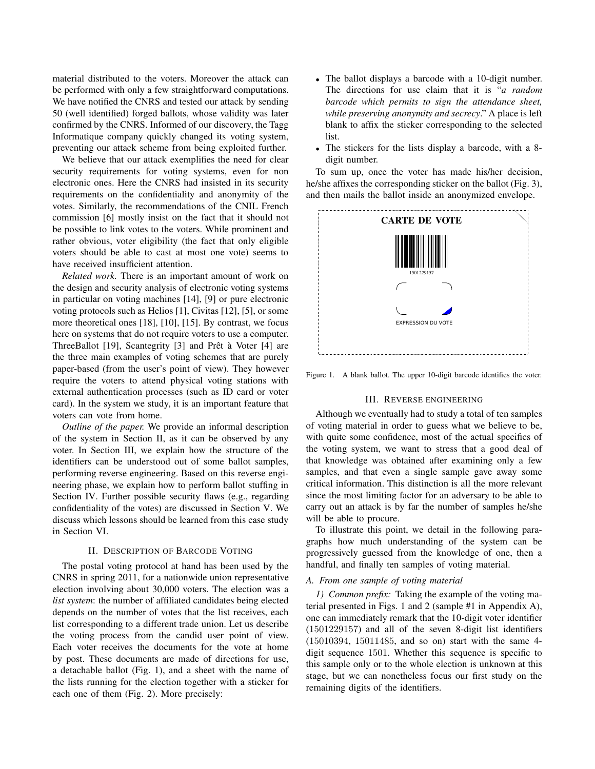material distributed to the voters. Moreover the attack can be performed with only a few straightforward computations. We have notified the CNRS and tested our attack by sending 50 (well identified) forged ballots, whose validity was later confirmed by the CNRS. Informed of our discovery, the Tagg Informatique company quickly changed its voting system, preventing our attack scheme from being exploited further.

We believe that our attack exemplifies the need for clear security requirements for voting systems, even for non electronic ones. Here the CNRS had insisted in its security requirements on the confidentiality and anonymity of the votes. Similarly, the recommendations of the CNIL French commission [6] mostly insist on the fact that it should not be possible to link votes to the voters. While prominent and rather obvious, voter eligibility (the fact that only eligible voters should be able to cast at most one vote) seems to have received insufficient attention.

*Related work.* There is an important amount of work on the design and security analysis of electronic voting systems in particular on voting machines [14], [9] or pure electronic voting protocols such as Helios [1], Civitas [12], [5], or some more theoretical ones [18], [10], [15]. By contrast, we focus here on systems that do not require voters to use a computer. ThreeBallot [19], Scantegrity [3] and Prêt à Voter [4] are the three main examples of voting schemes that are purely paper-based (from the user's point of view). They however require the voters to attend physical voting stations with external authentication processes (such as ID card or voter card). In the system we study, it is an important feature that voters can vote from home.

*Outline of the paper.* We provide an informal description of the system in Section II, as it can be observed by any voter. In Section III, we explain how the structure of the identifiers can be understood out of some ballot samples, performing reverse engineering. Based on this reverse engineering phase, we explain how to perform ballot stuffing in Section IV. Further possible security flaws (e.g., regarding confidentiality of the votes) are discussed in Section V. We discuss which lessons should be learned from this case study in Section VI.

#### II. DESCRIPTION OF BARCODE VOTING

The postal voting protocol at hand has been used by the CNRS in spring 2011, for a nationwide union representative election involving about 30,000 voters. The election was a *list system*: the number of affiliated candidates being elected depends on the number of votes that the list receives, each list corresponding to a different trade union. Let us describe the voting process from the candid user point of view. Each voter receives the documents for the vote at home by post. These documents are made of directions for use, a detachable ballot (Fig. 1), and a sheet with the name of the lists running for the election together with a sticker for each one of them (Fig. 2). More precisely:

- The ballot displays a barcode with a 10-digit number. The directions for use claim that it is "*a random barcode which permits to sign the attendance sheet, while preserving anonymity and secrecy*." A place is left blank to affix the sticker corresponding to the selected list.
- The stickers for the lists display a barcode, with a 8 digit number.

To sum up, once the voter has made his/her decision, he/she affixes the corresponding sticker on the ballot (Fig. 3), and then mails the ballot inside an anonymized envelope.



Figure 1. A blank ballot. The upper 10-digit barcode identifies the voter.

#### III. REVERSE ENGINEERING

Although we eventually had to study a total of ten samples of voting material in order to guess what we believe to be, with quite some confidence, most of the actual specifics of the voting system, we want to stress that a good deal of that knowledge was obtained after examining only a few samples, and that even a single sample gave away some critical information. This distinction is all the more relevant since the most limiting factor for an adversary to be able to carry out an attack is by far the number of samples he/she will be able to procure.

To illustrate this point, we detail in the following paragraphs how much understanding of the system can be progressively guessed from the knowledge of one, then a handful, and finally ten samples of voting material.

## *A. From one sample of voting material*

*1) Common prefix:* Taking the example of the voting material presented in Figs. 1 and 2 (sample #1 in Appendix A), one can immediately remark that the 10-digit voter identifier (1501229157) and all of the seven 8-digit list identifiers (15010394, 15011485, and so on) start with the same 4 digit sequence 1501. Whether this sequence is specific to this sample only or to the whole election is unknown at this stage, but we can nonetheless focus our first study on the remaining digits of the identifiers.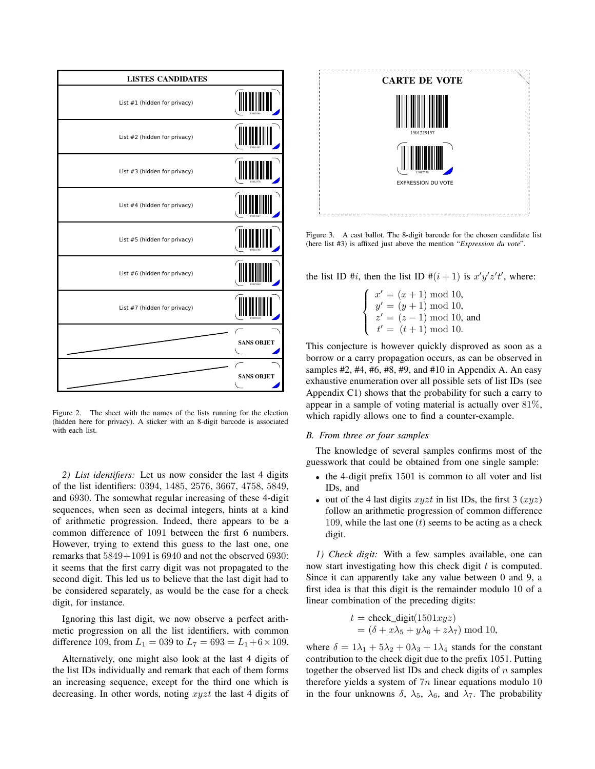

Figure 2. The sheet with the names of the lists running for the election (hidden here for privacy). A sticker with an 8-digit barcode is associated with each list.

*2) List identifiers:* Let us now consider the last 4 digits of the list identifiers: 0394, 1485, 2576, 3667, 4758, 5849, and 6930. The somewhat regular increasing of these 4-digit sequences, when seen as decimal integers, hints at a kind of arithmetic progression. Indeed, there appears to be a common difference of 1091 between the first 6 numbers. However, trying to extend this guess to the last one, one remarks that 5849+1091 is 6940 and not the observed 6930: it seems that the first carry digit was not propagated to the second digit. This led us to believe that the last digit had to be considered separately, as would be the case for a check digit, for instance.

Ignoring this last digit, we now observe a perfect arithmetic progression on all the list identifiers, with common difference 109, from  $L_1 = 039$  to  $L_7 = 693 = L_1 + 6 \times 109$ .

Alternatively, one might also look at the last 4 digits of the list IDs individually and remark that each of them forms an increasing sequence, except for the third one which is decreasing. In other words, noting  $xyzt$  the last 4 digits of



Figure 3. A cast ballot. The 8-digit barcode for the chosen candidate list (here list #3) is affixed just above the mention "*Expression du vote*".

the list ID #i, then the list ID  $\#(i+1)$  is  $x'y'z't'$ , where:

 $\sqrt{ }$  $\int$  $\overline{\mathcal{L}}$  $x' = (x + 1) \bmod{10}$ ,  $y' = (y + 1) \mod 10,$  $z' = (z - 1) \mod 10$ , and  $t' = (t + 1) \mod 10.$ 

This conjecture is however quickly disproved as soon as a borrow or a carry propagation occurs, as can be observed in samples #2, #4, #6, #8, #9, and #10 in Appendix A. An easy exhaustive enumeration over all possible sets of list IDs (see Appendix C1) shows that the probability for such a carry to appear in a sample of voting material is actually over 81%, which rapidly allows one to find a counter-example.

#### *B. From three or four samples*

The knowledge of several samples confirms most of the guesswork that could be obtained from one single sample:

- the 4-digit prefix 1501 is common to all voter and list IDs, and
- out of the 4 last digits  $xyzt$  in list IDs, the first 3  $(xyz)$ follow an arithmetic progression of common difference 109, while the last one  $(t)$  seems to be acting as a check digit.

*1) Check digit:* With a few samples available, one can now start investigating how this check digit  $t$  is computed. Since it can apparently take any value between 0 and 9, a first idea is that this digit is the remainder modulo 10 of a linear combination of the preceding digits:

$$
t = \text{check\_digit}(1501xyz)
$$
  
=  $(\delta + x\lambda_5 + y\lambda_6 + z\lambda_7) \text{ mod } 10,$ 

where  $\delta = 1\lambda_1 + 5\lambda_2 + 0\lambda_3 + 1\lambda_4$  stands for the constant contribution to the check digit due to the prefix 1051. Putting together the observed list IDs and check digits of  $n$  samples therefore yields a system of  $7n$  linear equations modulo 10 in the four unknowns  $\delta$ ,  $\lambda_5$ ,  $\lambda_6$ , and  $\lambda_7$ . The probability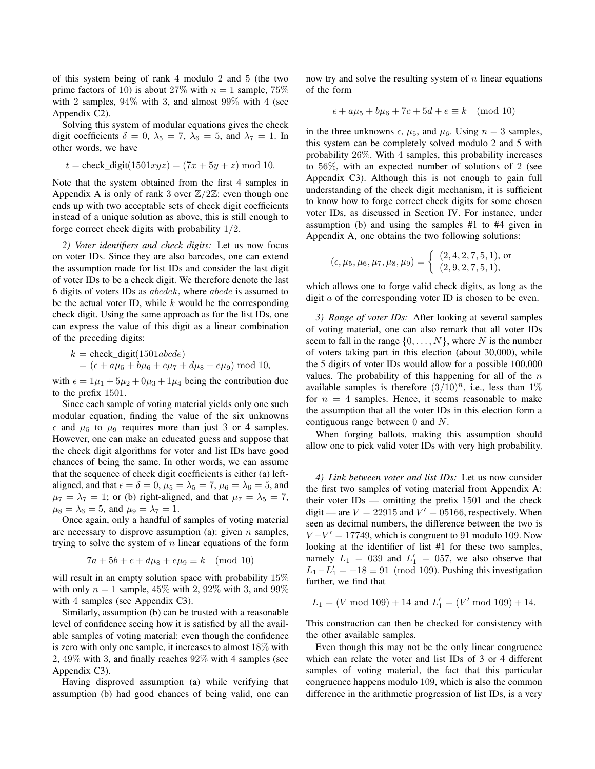of this system being of rank 4 modulo 2 and 5 (the two prime factors of 10) is about 27% with  $n = 1$  sample, 75% with 2 samples, 94% with 3, and almost 99% with 4 (see Appendix C2).

Solving this system of modular equations gives the check digit coefficients  $\delta = 0$ ,  $\lambda_5 = 7$ ,  $\lambda_6 = 5$ , and  $\lambda_7 = 1$ . In other words, we have

$$
t = \text{check\_digit}(1501xyz) = (7x + 5y + z) \mod 10.
$$

Note that the system obtained from the first 4 samples in Appendix A is only of rank 3 over  $\mathbb{Z}/2\mathbb{Z}$ : even though one ends up with two acceptable sets of check digit coefficients instead of a unique solution as above, this is still enough to forge correct check digits with probability 1/2.

*2) Voter identifiers and check digits:* Let us now focus on voter IDs. Since they are also barcodes, one can extend the assumption made for list IDs and consider the last digit of voter IDs to be a check digit. We therefore denote the last 6 digits of voters IDs as abcdek, where abcde is assumed to be the actual voter ID, while  $k$  would be the corresponding check digit. Using the same approach as for the list IDs, one can express the value of this digit as a linear combination of the preceding digits:

$$
k = \text{check\_digit}(1501abcde)
$$
  
=  $(\epsilon + a\mu_5 + b\mu_6 + c\mu_7 + d\mu_8 + e\mu_9) \text{ mod } 10,$ 

with  $\epsilon = 1\mu_1 + 5\mu_2 + 0\mu_3 + 1\mu_4$  being the contribution due to the prefix 1501.

Since each sample of voting material yields only one such modular equation, finding the value of the six unknowns  $\epsilon$  and  $\mu_5$  to  $\mu_9$  requires more than just 3 or 4 samples. However, one can make an educated guess and suppose that the check digit algorithms for voter and list IDs have good chances of being the same. In other words, we can assume that the sequence of check digit coefficients is either (a) leftaligned, and that  $\epsilon = \delta = 0$ ,  $\mu_5 = \lambda_5 = 7$ ,  $\mu_6 = \lambda_6 = 5$ , and  $\mu_7 = \lambda_7 = 1$ ; or (b) right-aligned, and that  $\mu_7 = \lambda_5 = 7$ ,  $\mu_8 = \lambda_6 = 5$ , and  $\mu_9 = \lambda_7 = 1$ .

Once again, only a handful of samples of voting material are necessary to disprove assumption (a): given  $n$  samples, trying to solve the system of  $n$  linear equations of the form

$$
7a + 5b + c + d\mu_8 + e\mu_9 \equiv k \pmod{10}
$$

will result in an empty solution space with probability  $15\%$ with only  $n = 1$  sample, 45% with 2, 92% with 3, and 99% with 4 samples (see Appendix C3).

Similarly, assumption (b) can be trusted with a reasonable level of confidence seeing how it is satisfied by all the available samples of voting material: even though the confidence is zero with only one sample, it increases to almost 18% with 2, 49% with 3, and finally reaches 92% with 4 samples (see Appendix C3).

Having disproved assumption (a) while verifying that assumption (b) had good chances of being valid, one can now try and solve the resulting system of  $n$  linear equations of the form

$$
\epsilon + a\mu_5 + b\mu_6 + 7c + 5d + e \equiv k \pmod{10}
$$

in the three unknowns  $\epsilon$ ,  $\mu_5$ , and  $\mu_6$ . Using  $n = 3$  samples, this system can be completely solved modulo 2 and 5 with probability 26%. With 4 samples, this probability increases to 56%, with an expected number of solutions of 2 (see Appendix C3). Although this is not enough to gain full understanding of the check digit mechanism, it is sufficient to know how to forge correct check digits for some chosen voter IDs, as discussed in Section IV. For instance, under assumption (b) and using the samples #1 to #4 given in Appendix A, one obtains the two following solutions:

$$
(\epsilon, \mu_5, \mu_6, \mu_7, \mu_8, \mu_9) = \begin{cases} (2, 4, 2, 7, 5, 1), \text{ or} \\ (2, 9, 2, 7, 5, 1), \end{cases}
$$

which allows one to forge valid check digits, as long as the digit a of the corresponding voter ID is chosen to be even.

*3) Range of voter IDs:* After looking at several samples of voting material, one can also remark that all voter IDs seem to fall in the range  $\{0, \ldots, N\}$ , where N is the number of voters taking part in this election (about 30,000), while the 5 digits of voter IDs would allow for a possible 100,000 values. The probability of this happening for all of the  $n$ available samples is therefore  $(3/10)^n$ , i.e., less than 1% for  $n = 4$  samples. Hence, it seems reasonable to make the assumption that all the voter IDs in this election form a contiguous range between 0 and N.

When forging ballots, making this assumption should allow one to pick valid voter IDs with very high probability.

*4) Link between voter and list IDs:* Let us now consider the first two samples of voting material from Appendix A: their voter IDs — omitting the prefix 1501 and the check digit — are  $V = 22915$  and  $V' = 05166$ , respectively. When seen as decimal numbers, the difference between the two is  $V - V' = 17749$ , which is congruent to 91 modulo 109. Now looking at the identifier of list #1 for these two samples, namely  $L_1 = 039$  and  $L'_1 = 057$ , we also observe that  $L_1 - L_1' = -18 \equiv 91 \pmod{109}$ . Pushing this investigation further, we find that

$$
L_1 = (V \mod 109) + 14
$$
 and  $L'_1 = (V' \mod 109) + 14$ .

This construction can then be checked for consistency with the other available samples.

Even though this may not be the only linear congruence which can relate the voter and list IDs of 3 or 4 different samples of voting material, the fact that this particular congruence happens modulo 109, which is also the common difference in the arithmetic progression of list IDs, is a very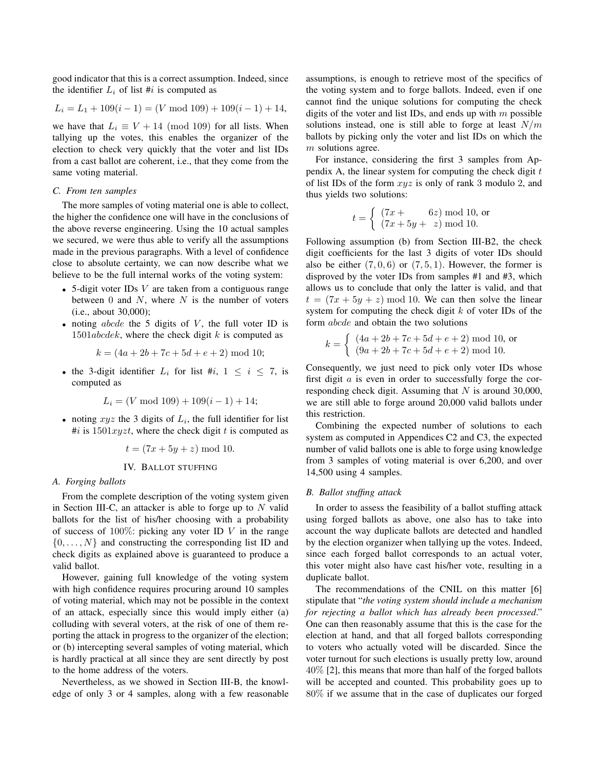good indicator that this is a correct assumption. Indeed, since the identifier  $L_i$  of list #i is computed as

$$
L_i = L_1 + 109(i - 1) = (V \bmod 109) + 109(i - 1) + 14,
$$

we have that  $L_i \equiv V + 14 \pmod{109}$  for all lists. When tallying up the votes, this enables the organizer of the election to check very quickly that the voter and list IDs from a cast ballot are coherent, i.e., that they come from the same voting material.

## *C. From ten samples*

The more samples of voting material one is able to collect, the higher the confidence one will have in the conclusions of the above reverse engineering. Using the 10 actual samples we secured, we were thus able to verify all the assumptions made in the previous paragraphs. With a level of confidence close to absolute certainty, we can now describe what we believe to be the full internal works of the voting system:

- $\bullet$  5-digit voter IDs  $V$  are taken from a contiguous range between  $0$  and  $N$ , where  $N$  is the number of voters (i.e., about 30,000);
- noting *abcde* the 5 digits of  $V$ , the full voter ID is  $1501abcdek$ , where the check digit k is computed as

$$
k = (4a + 2b + 7c + 5d + e + 2) \bmod 10;
$$

• the 3-digit identifier  $L_i$  for list #i,  $1 \le i \le 7$ , is computed as

$$
L_i = (V \mod 109) + 109(i - 1) + 14;
$$

• noting  $xyz$  the 3 digits of  $L_i$ , the full identifier for list #*i* is  $1501xyz$ *t*, where the check digit *t* is computed as

$$
t = (7x + 5y + z) \bmod 10.
$$

# IV. BALLOT STUFFING

#### *A. Forging ballots*

From the complete description of the voting system given in Section III-C, an attacker is able to forge up to  $N$  valid ballots for the list of his/her choosing with a probability of success of 100%: picking any voter ID V in the range  $\{0, \ldots, N\}$  and constructing the corresponding list ID and check digits as explained above is guaranteed to produce a valid ballot.

However, gaining full knowledge of the voting system with high confidence requires procuring around 10 samples of voting material, which may not be possible in the context of an attack, especially since this would imply either (a) colluding with several voters, at the risk of one of them reporting the attack in progress to the organizer of the election; or (b) intercepting several samples of voting material, which is hardly practical at all since they are sent directly by post to the home address of the voters.

Nevertheless, as we showed in Section III-B, the knowledge of only 3 or 4 samples, along with a few reasonable assumptions, is enough to retrieve most of the specifics of the voting system and to forge ballots. Indeed, even if one cannot find the unique solutions for computing the check digits of the voter and list IDs, and ends up with  $m$  possible solutions instead, one is still able to forge at least  $N/m$ ballots by picking only the voter and list IDs on which the  $m$  solutions agree.

For instance, considering the first 3 samples from Appendix A, the linear system for computing the check digit  $t$ of list IDs of the form  $xyz$  is only of rank 3 modulo 2, and thus yields two solutions:

$$
t = \begin{cases} (7x + 6z) \bmod{10}, \text{ or} \\ (7x + 5y + z) \bmod{10}. \end{cases}
$$

Following assumption (b) from Section III-B2, the check digit coefficients for the last 3 digits of voter IDs should also be either  $(7, 0, 6)$  or  $(7, 5, 1)$ . However, the former is disproved by the voter IDs from samples #1 and #3, which allows us to conclude that only the latter is valid, and that  $t = (7x + 5y + z) \mod 10$ . We can then solve the linear system for computing the check digit  $k$  of voter IDs of the form abcde and obtain the two solutions

$$
k = \begin{cases} (4a + 2b + 7c + 5d + e + 2) \mod 10, \text{ or} \\ (9a + 2b + 7c + 5d + e + 2) \mod 10. \end{cases}
$$

Consequently, we just need to pick only voter IDs whose first digit  $a$  is even in order to successfully forge the corresponding check digit. Assuming that  $N$  is around 30,000, we are still able to forge around 20,000 valid ballots under this restriction.

Combining the expected number of solutions to each system as computed in Appendices C2 and C3, the expected number of valid ballots one is able to forge using knowledge from 3 samples of voting material is over 6,200, and over 14,500 using 4 samples.

#### *B. Ballot stuffing attack*

In order to assess the feasibility of a ballot stuffing attack using forged ballots as above, one also has to take into account the way duplicate ballots are detected and handled by the election organizer when tallying up the votes. Indeed, since each forged ballot corresponds to an actual voter, this voter might also have cast his/her vote, resulting in a duplicate ballot.

The recommendations of the CNIL on this matter [6] stipulate that "*the voting system should include a mechanism for rejecting a ballot which has already been processed*." One can then reasonably assume that this is the case for the election at hand, and that all forged ballots corresponding to voters who actually voted will be discarded. Since the voter turnout for such elections is usually pretty low, around 40% [2], this means that more than half of the forged ballots will be accepted and counted. This probability goes up to 80% if we assume that in the case of duplicates our forged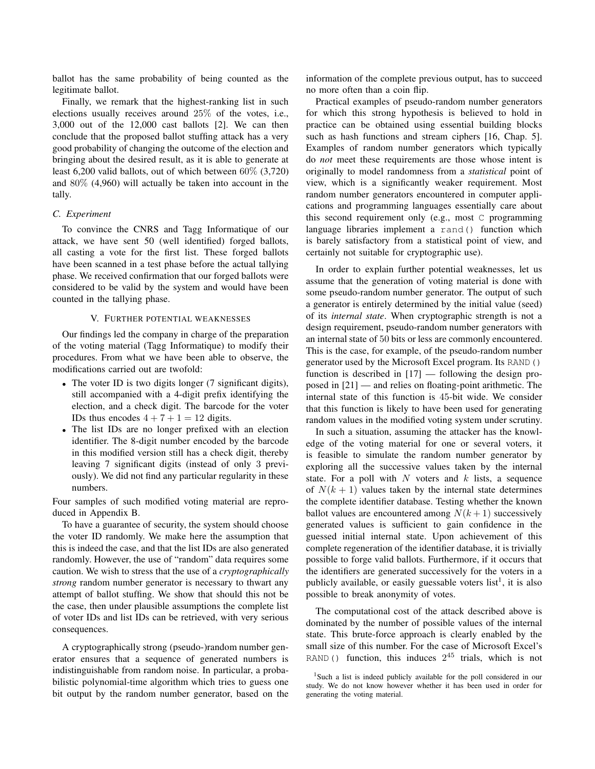ballot has the same probability of being counted as the legitimate ballot.

Finally, we remark that the highest-ranking list in such elections usually receives around 25% of the votes, i.e., 3,000 out of the 12,000 cast ballots [2]. We can then conclude that the proposed ballot stuffing attack has a very good probability of changing the outcome of the election and bringing about the desired result, as it is able to generate at least 6,200 valid ballots, out of which between 60% (3,720) and 80% (4,960) will actually be taken into account in the tally.

# *C. Experiment*

To convince the CNRS and Tagg Informatique of our attack, we have sent 50 (well identified) forged ballots, all casting a vote for the first list. These forged ballots have been scanned in a test phase before the actual tallying phase. We received confirmation that our forged ballots were considered to be valid by the system and would have been counted in the tallying phase.

#### V. FURTHER POTENTIAL WEAKNESSES

Our findings led the company in charge of the preparation of the voting material (Tagg Informatique) to modify their procedures. From what we have been able to observe, the modifications carried out are twofold:

- The voter ID is two digits longer (7 significant digits), still accompanied with a 4-digit prefix identifying the election, and a check digit. The barcode for the voter IDs thus encodes  $4 + 7 + 1 = 12$  digits.
- The list IDs are no longer prefixed with an election identifier. The 8-digit number encoded by the barcode in this modified version still has a check digit, thereby leaving 7 significant digits (instead of only 3 previously). We did not find any particular regularity in these numbers.

Four samples of such modified voting material are reproduced in Appendix B.

To have a guarantee of security, the system should choose the voter ID randomly. We make here the assumption that this is indeed the case, and that the list IDs are also generated randomly. However, the use of "random" data requires some caution. We wish to stress that the use of a *cryptographically strong* random number generator is necessary to thwart any attempt of ballot stuffing. We show that should this not be the case, then under plausible assumptions the complete list of voter IDs and list IDs can be retrieved, with very serious consequences.

A cryptographically strong (pseudo-)random number generator ensures that a sequence of generated numbers is indistinguishable from random noise. In particular, a probabilistic polynomial-time algorithm which tries to guess one bit output by the random number generator, based on the information of the complete previous output, has to succeed no more often than a coin flip.

Practical examples of pseudo-random number generators for which this strong hypothesis is believed to hold in practice can be obtained using essential building blocks such as hash functions and stream ciphers [16, Chap. 5]. Examples of random number generators which typically do *not* meet these requirements are those whose intent is originally to model randomness from a *statistical* point of view, which is a significantly weaker requirement. Most random number generators encountered in computer applications and programming languages essentially care about this second requirement only (e.g., most C programming language libraries implement a rand() function which is barely satisfactory from a statistical point of view, and certainly not suitable for cryptographic use).

In order to explain further potential weaknesses, let us assume that the generation of voting material is done with some pseudo-random number generator. The output of such a generator is entirely determined by the initial value (seed) of its *internal state*. When cryptographic strength is not a design requirement, pseudo-random number generators with an internal state of 50 bits or less are commonly encountered. This is the case, for example, of the pseudo-random number generator used by the Microsoft Excel program. Its RAND() function is described in [17] — following the design proposed in [21] — and relies on floating-point arithmetic. The internal state of this function is 45-bit wide. We consider that this function is likely to have been used for generating random values in the modified voting system under scrutiny.

In such a situation, assuming the attacker has the knowledge of the voting material for one or several voters, it is feasible to simulate the random number generator by exploring all the successive values taken by the internal state. For a poll with  $N$  voters and  $k$  lists, a sequence of  $N(k + 1)$  values taken by the internal state determines the complete identifier database. Testing whether the known ballot values are encountered among  $N(k+1)$  successively generated values is sufficient to gain confidence in the guessed initial internal state. Upon achievement of this complete regeneration of the identifier database, it is trivially possible to forge valid ballots. Furthermore, if it occurs that the identifiers are generated successively for the voters in a publicly available, or easily guessable voters  $list<sup>1</sup>$ , it is also possible to break anonymity of votes.

The computational cost of the attack described above is dominated by the number of possible values of the internal state. This brute-force approach is clearly enabled by the small size of this number. For the case of Microsoft Excel's RAND() function, this induces  $2^{45}$  trials, which is not

<sup>&</sup>lt;sup>1</sup>Such a list is indeed publicly available for the poll considered in our study. We do not know however whether it has been used in order for generating the voting material.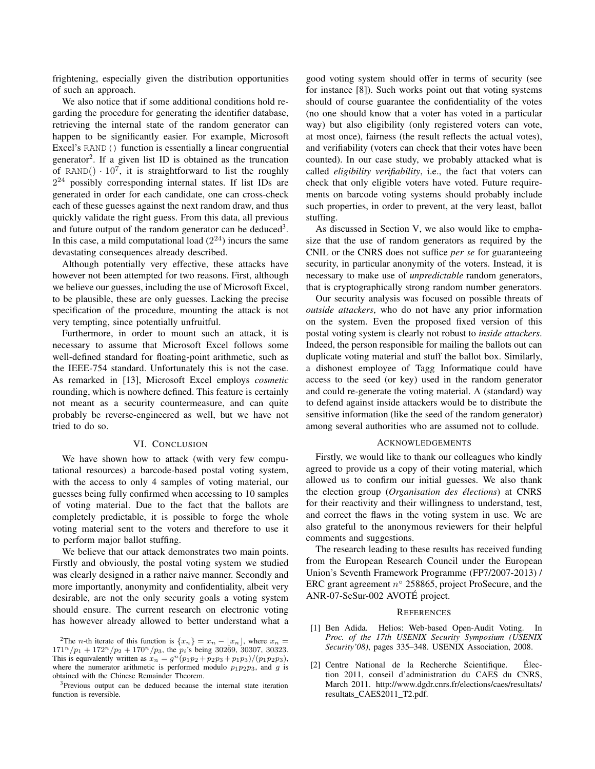frightening, especially given the distribution opportunities of such an approach.

We also notice that if some additional conditions hold regarding the procedure for generating the identifier database, retrieving the internal state of the random generator can happen to be significantly easier. For example, Microsoft Excel's RAND() function is essentially a linear congruential generator<sup>2</sup>. If a given list ID is obtained as the truncation of RAND $() \cdot 10^7$ , it is straightforward to list the roughly 2<sup>24</sup> possibly corresponding internal states. If list IDs are generated in order for each candidate, one can cross-check each of these guesses against the next random draw, and thus quickly validate the right guess. From this data, all previous and future output of the random generator can be deduced<sup>3</sup>. In this case, a mild computational load  $(2^{24})$  incurs the same devastating consequences already described.

Although potentially very effective, these attacks have however not been attempted for two reasons. First, although we believe our guesses, including the use of Microsoft Excel, to be plausible, these are only guesses. Lacking the precise specification of the procedure, mounting the attack is not very tempting, since potentially unfruitful.

Furthermore, in order to mount such an attack, it is necessary to assume that Microsoft Excel follows some well-defined standard for floating-point arithmetic, such as the IEEE-754 standard. Unfortunately this is not the case. As remarked in [13], Microsoft Excel employs *cosmetic* rounding, which is nowhere defined. This feature is certainly not meant as a security countermeasure, and can quite probably be reverse-engineered as well, but we have not tried to do so.

#### VI. CONCLUSION

We have shown how to attack (with very few computational resources) a barcode-based postal voting system, with the access to only 4 samples of voting material, our guesses being fully confirmed when accessing to 10 samples of voting material. Due to the fact that the ballots are completely predictable, it is possible to forge the whole voting material sent to the voters and therefore to use it to perform major ballot stuffing.

We believe that our attack demonstrates two main points. Firstly and obviously, the postal voting system we studied was clearly designed in a rather naive manner. Secondly and more importantly, anonymity and confidentiality, albeit very desirable, are not the only security goals a voting system should ensure. The current research on electronic voting has however already allowed to better understand what a

<sup>3</sup>Previous output can be deduced because the internal state iteration function is reversible.

good voting system should offer in terms of security (see for instance [8]). Such works point out that voting systems should of course guarantee the confidentiality of the votes (no one should know that a voter has voted in a particular way) but also eligibility (only registered voters can vote, at most once), fairness (the result reflects the actual votes), and verifiability (voters can check that their votes have been counted). In our case study, we probably attacked what is called *eligibility verifiability*, i.e., the fact that voters can check that only eligible voters have voted. Future requirements on barcode voting systems should probably include such properties, in order to prevent, at the very least, ballot stuffing.

As discussed in Section V, we also would like to emphasize that the use of random generators as required by the CNIL or the CNRS does not suffice *per se* for guaranteeing security, in particular anonymity of the voters. Instead, it is necessary to make use of *unpredictable* random generators, that is cryptographically strong random number generators.

Our security analysis was focused on possible threats of *outside attackers*, who do not have any prior information on the system. Even the proposed fixed version of this postal voting system is clearly not robust to *inside attackers*. Indeed, the person responsible for mailing the ballots out can duplicate voting material and stuff the ballot box. Similarly, a dishonest employee of Tagg Informatique could have access to the seed (or key) used in the random generator and could re-generate the voting material. A (standard) way to defend against inside attackers would be to distribute the sensitive information (like the seed of the random generator) among several authorities who are assumed not to collude.

#### ACKNOWLEDGEMENTS

Firstly, we would like to thank our colleagues who kindly agreed to provide us a copy of their voting material, which allowed us to confirm our initial guesses. We also thank the election group (*Organisation des élections*) at CNRS for their reactivity and their willingness to understand, test, and correct the flaws in the voting system in use. We are also grateful to the anonymous reviewers for their helpful comments and suggestions.

The research leading to these results has received funding from the European Research Council under the European Union's Seventh Framework Programme (FP7/2007-2013) / ERC grant agreement  $n^{\circ}$  258865, project ProSecure, and the ANR-07-SeSur-002 AVOTÉ project.

#### **REFERENCES**

- [1] Ben Adida. Helios: Web-based Open-Audit Voting. In *Proc. of the 17th USENIX Security Symposium (USENIX Security'08)*, pages 335–348. USENIX Association, 2008.
- [2] Centre National de la Recherche Scientifique. Élection 2011, conseil d'administration du CAES du CNRS, March 2011. http://www.dgdr.cnrs.fr/elections/caes/resultats/ resultats\_CAES2011\_T2.pdf.

<sup>&</sup>lt;sup>2</sup>The *n*-th iterate of this function is  $\{x_n\} = x_n - \lfloor x_n \rfloor$ , where  $x_n =$  $171<sup>n</sup>/p_1 + 172<sup>n</sup>/p_2 + 170<sup>n</sup>/p_3$ , the  $p_i$ 's being 30269, 30307, 30323. This is equivalently written as  $x_n = g^n(p_1p_2 + p_2p_3 + p_1p_3)/(p_1p_2p_3)$ , where the numerator arithmetic is performed modulo  $p_1p_2p_3$ , and g is obtained with the Chinese Remainder Theorem.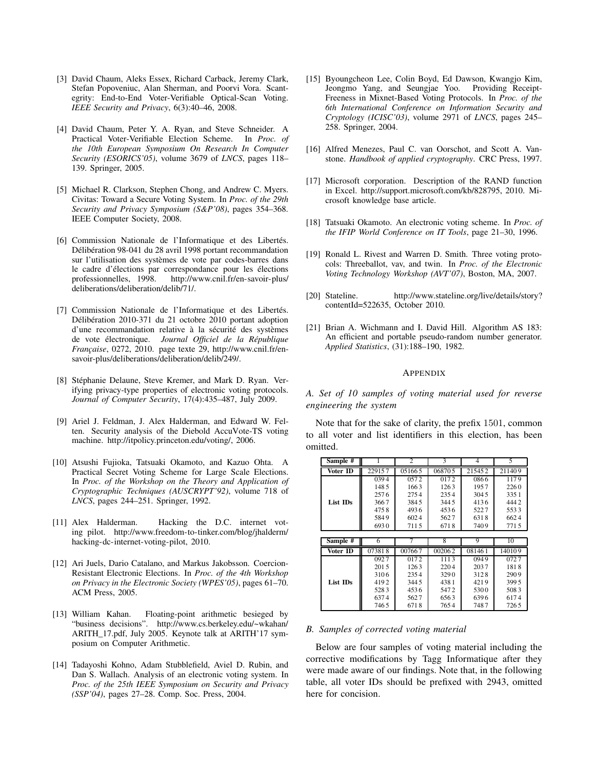- [3] David Chaum, Aleks Essex, Richard Carback, Jeremy Clark, Stefan Popoveniuc, Alan Sherman, and Poorvi Vora. Scantegrity: End-to-End Voter-Verifiable Optical-Scan Voting. *IEEE Security and Privacy*, 6(3):40–46, 2008.
- [4] David Chaum, Peter Y. A. Ryan, and Steve Schneider. A Practical Voter-Verifiable Election Scheme. In *Proc. of the 10th European Symposium On Research In Computer Security (ESORICS'05)*, volume 3679 of *LNCS*, pages 118– 139. Springer, 2005.
- [5] Michael R. Clarkson, Stephen Chong, and Andrew C. Myers. Civitas: Toward a Secure Voting System. In *Proc. of the 29th Security and Privacy Symposium (S&P'08)*, pages 354–368. IEEE Computer Society, 2008.
- [6] Commission Nationale de l'Informatique et des Libertés. Délibération 98-041 du 28 avril 1998 portant recommandation sur l'utilisation des systèmes de vote par codes-barres dans le cadre d'élections par correspondance pour les élections professionnelles, 1998. http://www.cnil.fr/en-savoir-plus/ deliberations/deliberation/delib/71/.
- [7] Commission Nationale de l'Informatique et des Libertés. Délibération 2010-371 du 21 octobre 2010 portant adoption d'une recommandation relative à la sécurité des systèmes de vote électronique. *Journal Officiel de la République Française*, 0272, 2010. page texte 29, http://www.cnil.fr/ensavoir-plus/deliberations/deliberation/delib/249/.
- [8] Stéphanie Delaune, Steve Kremer, and Mark D. Ryan. Verifying privacy-type properties of electronic voting protocols. *Journal of Computer Security*, 17(4):435–487, July 2009.
- [9] Ariel J. Feldman, J. Alex Halderman, and Edward W. Felten. Security analysis of the Diebold AccuVote-TS voting machine. http://itpolicy.princeton.edu/voting/, 2006.
- [10] Atsushi Fujioka, Tatsuaki Okamoto, and Kazuo Ohta. A Practical Secret Voting Scheme for Large Scale Elections. In *Proc. of the Workshop on the Theory and Application of Cryptographic Techniques (AUSCRYPT'92)*, volume 718 of *LNCS*, pages 244–251. Springer, 1992.
- [11] Alex Halderman. Hacking the D.C. internet voting pilot. http://www.freedom-to-tinker.com/blog/jhalderm/ hacking-dc-internet-voting-pilot, 2010.
- [12] Ari Juels, Dario Catalano, and Markus Jakobsson. Coercion-Resistant Electronic Elections. In *Proc. of the 4th Workshop on Privacy in the Electronic Society (WPES'05)*, pages 61–70. ACM Press, 2005.
- [13] William Kahan. Floating-point arithmetic besieged by "business decisions". http://www.cs.berkeley.edu/~wkahan/ ARITH\_17.pdf, July 2005. Keynote talk at ARITH'17 symposium on Computer Arithmetic.
- [14] Tadayoshi Kohno, Adam Stubblefield, Aviel D. Rubin, and Dan S. Wallach. Analysis of an electronic voting system. In *Proc. of the 25th IEEE Symposium on Security and Privacy (SSP'04)*, pages 27–28. Comp. Soc. Press, 2004.
- [15] Byoungcheon Lee, Colin Boyd, Ed Dawson, Kwangjo Kim, Jeongmo Yang, and Seungjae Yoo. Providing Receipt-Freeness in Mixnet-Based Voting Protocols. In *Proc. of the 6th International Conference on Information Security and Cryptology (ICISC'03)*, volume 2971 of *LNCS*, pages 245– 258. Springer, 2004.
- [16] Alfred Menezes, Paul C. van Oorschot, and Scott A. Vanstone. *Handbook of applied cryptography*. CRC Press, 1997.
- [17] Microsoft corporation. Description of the RAND function in Excel. http://support.microsoft.com/kb/828795, 2010. Microsoft knowledge base article.
- [18] Tatsuaki Okamoto. An electronic voting scheme. In *Proc. of the IFIP World Conference on IT Tools*, page 21–30, 1996.
- [19] Ronald L. Rivest and Warren D. Smith. Three voting protocols: Threeballot, vav, and twin. In *Proc. of the Electronic Voting Technology Workshop (AVT'07)*, Boston, MA, 2007.
- [20] Stateline. http://www.stateline.org/live/details/story? contentId=522635, October 2010.
- [21] Brian A. Wichmann and I. David Hill. Algorithm AS 183: An efficient and portable pseudo-random number generator. *Applied Statistics*, (31):188–190, 1982.

#### APPENDIX

## *A. Set of 10 samples of voting material used for reverse engineering the system*

Note that for the sake of clarity, the prefix 1501, common to all voter and list identifiers in this election, has been omitted.

| Sample #        |        | $\overline{c}$ | 3                 | 4      | 5      |
|-----------------|--------|----------------|-------------------|--------|--------|
| Voter ID        | 229157 | 051665         | 068705            | 215452 | 211409 |
|                 | 0394   | 0572           | 0172              | 0866   | 1179   |
|                 | 1485   | 1663           | 1263              | 1957   | 2260   |
|                 | 2576   | 2754           | 2354              | 3045   | 3351   |
| List IDs        | 3667   | 3845           | 3445              | 4136   | 4442   |
|                 | 4758   | 4936           | 4536              | 5227   | 5533   |
|                 | 5849   | 6024           | 5627              | 6318   | 6624   |
|                 | 6930   | 7115           | 6718              | 7409   | 7715   |
|                 |        |                |                   |        |        |
| Sample #        | 6      |                | 8                 | 9      | 10     |
| Voter ID        | 073818 | 007667         | 002062            | 081461 | 140109 |
|                 | 0927   | 0172           | $11\overline{13}$ | 0949   | 0727   |
|                 | 2015   | 1263           | 2204              | 2037   | 1818   |
|                 | 3106   | 2354           | 3290              | 3128   | 2909   |
| <b>List IDs</b> | 4192   | 344.5          | 4381              | 4219   | 3995   |
|                 | 5283   | 4536           | 5472              | 5300   | 5083   |
|                 | 6374   | 5627           | 6563              | 6396   | 6174   |
|                 | 7465   | 6718           | 7654              | 7487   | 7265   |

#### *B. Samples of corrected voting material*

Below are four samples of voting material including the corrective modifications by Tagg Informatique after they were made aware of our findings. Note that, in the following table, all voter IDs should be prefixed with 2943, omitted here for concision.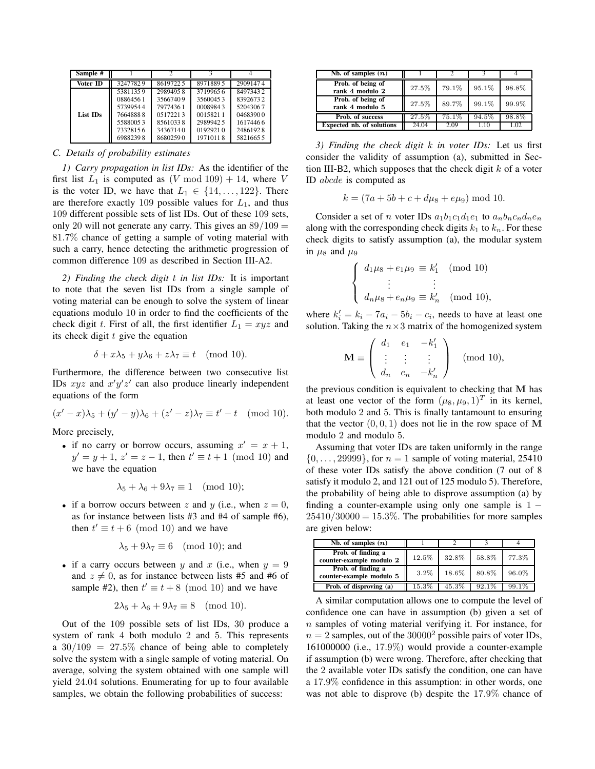| Sample #        |          | C         |           |          |  |
|-----------------|----------|-----------|-----------|----------|--|
| Voter ID        | 32477829 | 8619722.5 | 89718895  | 29091474 |  |
|                 | 53811359 | 29894958  | 37199656  | 84973432 |  |
|                 | 08864561 | 35667409  | 35600453  | 83926732 |  |
|                 | 57399544 | 79774361  | 00089843  | 52043067 |  |
| <b>List IDs</b> | 76648888 | 05172213  | 00158211  | 04683900 |  |
|                 | 55880053 | 85610338  | 2989942.5 | 16174466 |  |
|                 | 73328156 | 34367140  | 01929210  | 24861928 |  |
|                 | 69882398 | 86802590  | 19710118  | 58216655 |  |

*C. Details of probability estimates*

*1) Carry propagation in list IDs:* As the identifier of the first list  $L_1$  is computed as  $(V \mod 109) + 14$ , where V is the voter ID, we have that  $L_1 \in \{14, \ldots, 122\}$ . There are therefore exactly 109 possible values for  $L_1$ , and thus 109 different possible sets of list IDs. Out of these 109 sets, only 20 will not generate any carry. This gives an  $89/109 =$ 81.7% chance of getting a sample of voting material with such a carry, hence detecting the arithmetic progression of common difference 109 as described in Section III-A2.

*2) Finding the check digit* t *in list IDs:* It is important to note that the seven list IDs from a single sample of voting material can be enough to solve the system of linear equations modulo 10 in order to find the coefficients of the check digit t. First of all, the first identifier  $L_1 = xyz$  and its check digit  $t$  give the equation

$$
\delta + x\lambda_5 + y\lambda_6 + z\lambda_7 \equiv t \pmod{10}.
$$

Furthermore, the difference between two consecutive list IDs  $xyz$  and  $x'y'z'$  can also produce linearly independent equations of the form

$$
(x'-x)\lambda_5 + (y'-y)\lambda_6 + (z'-z)\lambda_7 \equiv t' - t \pmod{10}.
$$

More precisely,

• if no carry or borrow occurs, assuming  $x' = x + 1$ ,  $y' = y + 1$ ,  $z' = z - 1$ , then  $t' \equiv t + 1 \pmod{10}$  and we have the equation

$$
\lambda_5 + \lambda_6 + 9\lambda_7 \equiv 1 \pmod{10};
$$

• if a borrow occurs between z and y (i.e., when  $z = 0$ , as for instance between lists #3 and #4 of sample #6), then  $t' \equiv t + 6 \pmod{10}$  and we have

$$
\lambda_5 + 9\lambda_7 \equiv 6 \pmod{10}
$$
; and

• if a carry occurs between y and x (i.e., when  $y = 9$ and  $z \neq 0$ , as for instance between lists #5 and #6 of sample #2), then  $t' \equiv t + 8 \pmod{10}$  and we have

$$
2\lambda_5 + \lambda_6 + 9\lambda_7 \equiv 8 \pmod{10}.
$$

Out of the 109 possible sets of list IDs, 30 produce a system of rank 4 both modulo 2 and 5. This represents a  $30/109 = 27.5\%$  chance of being able to completely solve the system with a single sample of voting material. On average, solving the system obtained with one sample will yield 24.04 solutions. Enumerating for up to four available samples, we obtain the following probabilities of success:

| Nb. of samples $(n)$                 |       |       |          |       |
|--------------------------------------|-------|-------|----------|-------|
| Prob. of being of<br>rank 4 modulo 2 | 27.5% | 79.1% | 95.1%    | 98.8% |
| Prob. of being of<br>rank 4 modulo 5 | 27.5% | 89.7% | 99.1%    | 99.9% |
| Prob. of success                     | 27.5% | 75.1% | $94.5\%$ | 98.8% |
| <b>Expected nb. of solutions</b>     | 24.04 | 2.09  |          | - 02  |

*3) Finding the check digit* k *in voter IDs:* Let us first consider the validity of assumption (a), submitted in Section III-B2, which supposes that the check digit  $k$  of a voter ID abcde is computed as

$$
k = (7a + 5b + c + d\mu_8 + e\mu_9) \mod 10.
$$

Consider a set of n voter IDs  $a_1b_1c_1d_1e_1$  to  $a_nb_nc_nd_ne_n$ along with the corresponding check digits  $k_1$  to  $k_n$ . For these check digits to satisfy assumption (a), the modular system in  $\mu_8$  and  $\mu_9$ 

$$
\begin{cases}\n d_1 \mu_8 + e_1 \mu_9 \equiv k'_1 \pmod{10} \\
\vdots \\
d_n \mu_8 + e_n \mu_9 \equiv k'_n \pmod{10},\n\end{cases}
$$

where  $k'_i = k_i - 7a_i - 5b_i - c_i$ , needs to have at least one solution. Taking the  $n \times 3$  matrix of the homogenized system

$$
\mathbf{M} \equiv \left( \begin{array}{ccc} d_1 & e_1 & -k'_1 \\ \vdots & \vdots & \vdots \\ d_n & e_n & -k'_n \end{array} \right) \pmod{10},
$$

the previous condition is equivalent to checking that M has at least one vector of the form  $(\mu_8, \mu_9, 1)^T$  in its kernel, both modulo 2 and 5. This is finally tantamount to ensuring that the vector  $(0, 0, 1)$  does not lie in the row space of M modulo 2 and modulo 5.

Assuming that voter IDs are taken uniformly in the range  $\{0, \ldots, 29999\}$ , for  $n = 1$  sample of voting material, 25410 of these voter IDs satisfy the above condition (7 out of 8 satisfy it modulo 2, and 121 out of 125 modulo 5). Therefore, the probability of being able to disprove assumption (a) by finding a counter-example using only one sample is  $1 25410/30000 = 15.3\%$ . The probabilities for more samples are given below:

| Nb. of samples $(n)$                           |          |       |       |       |
|------------------------------------------------|----------|-------|-------|-------|
| Prob. of finding a<br>counter-example modulo 2 | 12.5%    | 32.8% | 58.8% | 77.3% |
| Prob. of finding a<br>counter-example modulo 5 | $3.2\%$  | 18.6% | 80.8% | 96.0% |
| Prob. of disproving $(a)$                      | $15.3\%$ | 45.3% | 92.1% | 99.1% |

A similar computation allows one to compute the level of confidence one can have in assumption (b) given a set of  $n$  samples of voting material verifying it. For instance, for  $n = 2$  samples, out of the 30000<sup>2</sup> possible pairs of voter IDs, 161000000 (i.e., 17.9%) would provide a counter-example if assumption (b) were wrong. Therefore, after checking that the 2 available voter IDs satisfy the condition, one can have a 17.9% confidence in this assumption: in other words, one was not able to disprove (b) despite the 17.9% chance of